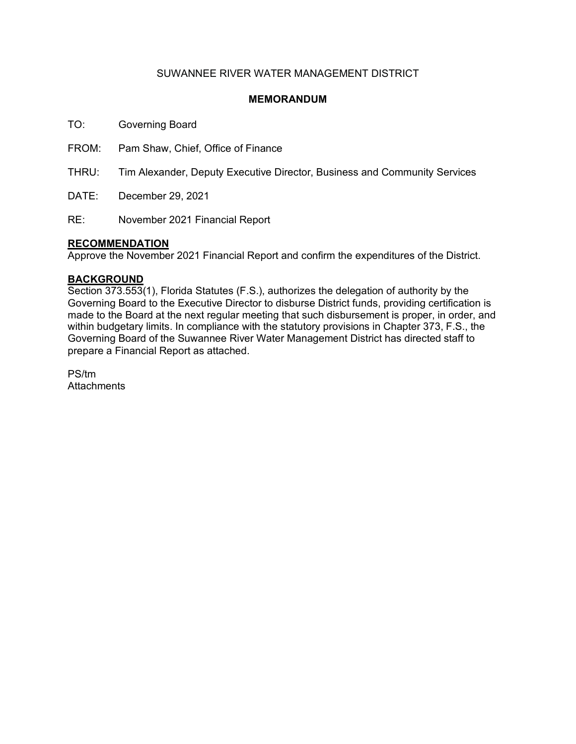## SUWANNEE RIVER WATER MANAGEMENT DISTRICT

### **MEMORANDUM**

TO: Governing Board

FROM: Pam Shaw, Chief, Office of Finance

THRU: Tim Alexander, Deputy Executive Director, Business and Community Services

DATE: December 29, 2021

RE: November 2021 Financial Report

### **RECOMMENDATION**

Approve the November 2021 Financial Report and confirm the expenditures of the District.

### **BACKGROUND**

Section 373.553(1), Florida Statutes (F.S.), authorizes the delegation of authority by the Governing Board to the Executive Director to disburse District funds, providing certification is made to the Board at the next regular meeting that such disbursement is proper, in order, and within budgetary limits. In compliance with the statutory provisions in Chapter 373, F.S., the Governing Board of the Suwannee River Water Management District has directed staff to prepare a Financial Report as attached.

PS/tm **Attachments**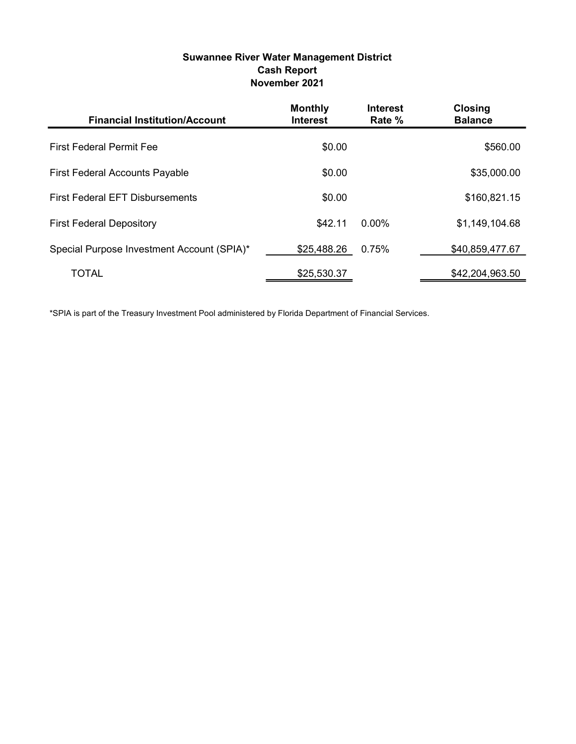# Suwannee River Water Management District Cash Report November 2021

| <b>Financial Institution/Account</b>       | <b>Monthly</b><br><b>Interest</b> | <b>Interest</b><br>Rate % | <b>Closing</b><br><b>Balance</b> |
|--------------------------------------------|-----------------------------------|---------------------------|----------------------------------|
| <b>First Federal Permit Fee</b>            | \$0.00                            |                           | \$560.00                         |
| <b>First Federal Accounts Payable</b>      | \$0.00                            |                           | \$35,000.00                      |
| <b>First Federal EFT Disbursements</b>     | \$0.00                            |                           | \$160,821.15                     |
| <b>First Federal Depository</b>            | \$42.11                           | $0.00\%$                  | \$1,149,104.68                   |
| Special Purpose Investment Account (SPIA)* | \$25,488.26                       | 0.75%                     | \$40,859,477.67                  |
| <b>TOTAL</b>                               | \$25,530.37                       |                           | \$42,204,963.50                  |

\*SPIA is part of the Treasury Investment Pool administered by Florida Department of Financial Services.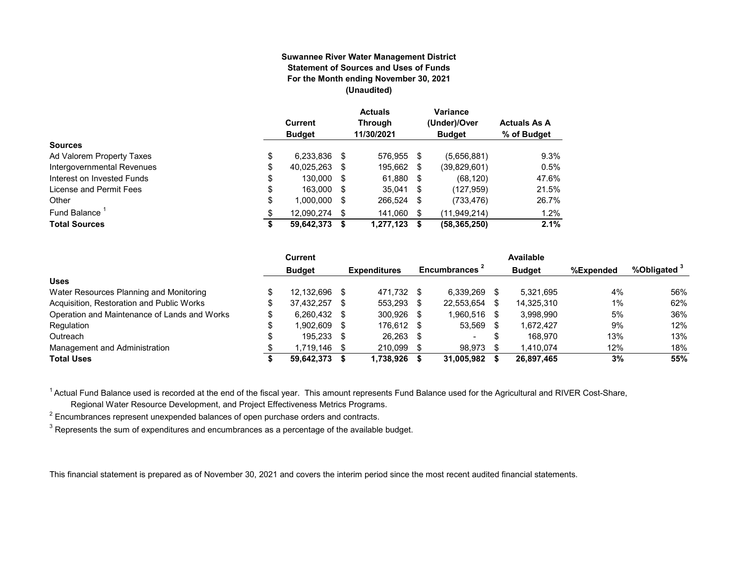#### **Suwannee River Water Management District Statement of Sources and Uses of Funds For the Month ending November 30, 2021 (Unaudited)**

|                                  | Current<br><b>Budget</b> |      | <b>Actuals</b><br><b>Through</b><br>11/30/2021 |    | Variance<br>(Under)/Over<br><b>Budget</b> | <b>Actuals As A</b><br>% of Budget |
|----------------------------------|--------------------------|------|------------------------------------------------|----|-------------------------------------------|------------------------------------|
| <b>Sources</b>                   |                          |      |                                                |    |                                           |                                    |
| \$<br>Ad Valorem Property Taxes  | 6,233,836                | S    | 576,955 \$                                     |    | (5,656,881)                               | 9.3%                               |
| Intergovernmental Revenues<br>\$ | 40,025,263               | S    | 195,662                                        | S  | (39, 829, 601)                            | 0.5%                               |
| \$<br>Interest on Invested Funds | 130.000                  | - \$ | 61,880 \$                                      |    | (68, 120)                                 | 47.6%                              |
| \$<br>License and Permit Fees    | 163,000                  | - \$ | $35,041$ \$                                    |    | (127, 959)                                | 21.5%                              |
| \$<br>Other                      | 1,000,000                | S    | 266,524                                        | S  | (733, 476)                                | 26.7%                              |
| Fund Balance<br>\$               | 12.090.274               | S    | 141.060                                        | \$ | (11,949,214)                              | 1.2%                               |
| <b>Total Sources</b><br>\$       | 59,642,373               |      | 1,277,123                                      | S  | (58, 365, 250)                            | 2.1%                               |

|                                              |     | Current        |      |                     |      |                           |    | Available     |           |                         |
|----------------------------------------------|-----|----------------|------|---------------------|------|---------------------------|----|---------------|-----------|-------------------------|
|                                              |     | <b>Budget</b>  |      | <b>Expenditures</b> |      | Encumbrances <sup>2</sup> |    | <b>Budget</b> | %Expended | %Obligated <sup>3</sup> |
| <b>Uses</b>                                  |     |                |      |                     |      |                           |    |               |           |                         |
| Water Resources Planning and Monitoring      |     | 12.132.696     | - \$ | 471.732             | - \$ | 6.339.269                 |    | 5.321.695     | 4%        | 56%                     |
| Acquisition, Restoration and Public Works    | \$. | 37.432.257     | - \$ | 553,293             | S    | 22,553,654                | -S | 14,325,310    | 1%        | 62%                     |
| Operation and Maintenance of Lands and Works |     | $6.260.432$ \$ |      | 300.926             | -S   | 1.960.516                 | -S | 3.998.990     | 5%        | 36%                     |
| Regulation                                   | ¢   | 902.609.       | - \$ | 176.612 \$          |      | 53,569                    |    | 1.672.427     | 9%        | 12%                     |
| Outreach                                     |     | 195,233 \$     |      | 26.263              | - \$ | $\overline{\phantom{a}}$  |    | 168.970       | 13%       | 13%                     |
| Management and Administration                |     | l.719.146      | - \$ | 210.099             |      | 98,973                    |    | 1,410,074     | 12%       | 18%                     |
| <b>Total Uses</b>                            |     | 59,642,373     |      | 1,738,926           |      | 31,005,982                |    | 26,897,465    | 3%        | 55%                     |

<sup>1</sup> Actual Fund Balance used is recorded at the end of the fiscal year. This amount represents Fund Balance used for the Agricultural and RIVER Cost-Share,

Regional Water Resource Development, and Project Effectiveness Metrics Programs.

 $^{\text{2}}$  Encumbrances represent unexpended balances of open purchase orders and contracts.

 $^3$  Represents the sum of expenditures and encumbrances as a percentage of the available budget.

This financial statement is prepared as of November 30, 2021 and covers the interim period since the most recent audited financial statements.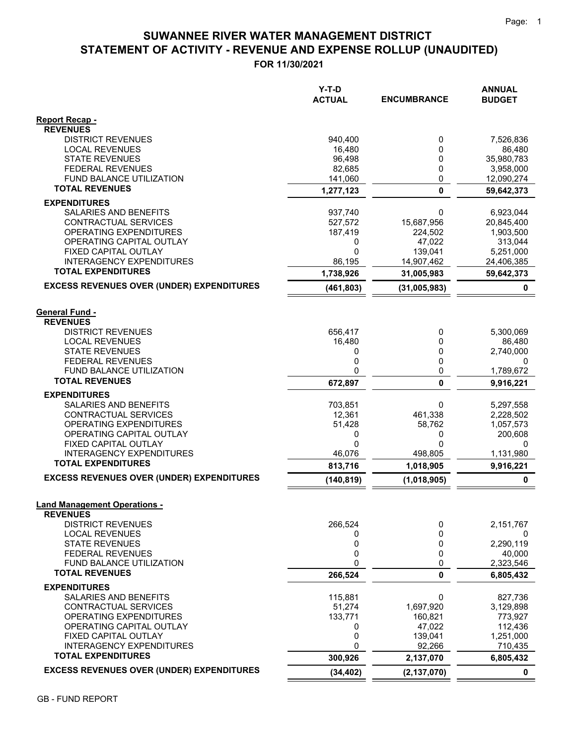# **STATEMENT OF ACTIVITY - REVENUE AND EXPENSE ROLLUP (UNAUDITED) SUWANNEE RIVER WATER MANAGEMENT DISTRICT**

**FOR 11/30/2021**

|                                                              | Y-T-D<br><b>ACTUAL</b> | <b>ENCUMBRANCE</b> | <b>ANNUAL</b><br><b>BUDGET</b> |
|--------------------------------------------------------------|------------------------|--------------------|--------------------------------|
| <b>Report Recap -</b>                                        |                        |                    |                                |
| <b>REVENUES</b><br><b>DISTRICT REVENUES</b>                  |                        |                    |                                |
| <b>LOCAL REVENUES</b>                                        | 940,400<br>16,480      | 0<br>0             | 7,526,836<br>86,480            |
| <b>STATE REVENUES</b>                                        | 96,498                 | 0                  | 35,980,783                     |
| <b>FEDERAL REVENUES</b>                                      | 82,685                 | 0                  | 3,958,000                      |
| FUND BALANCE UTILIZATION                                     | 141,060                | 0                  | 12,090,274                     |
| <b>TOTAL REVENUES</b>                                        | 1,277,123              | $\mathbf{0}$       | 59,642,373                     |
| <b>EXPENDITURES</b>                                          |                        |                    |                                |
| SALARIES AND BENEFITS                                        | 937,740                | 0                  | 6,923,044                      |
| CONTRACTUAL SERVICES                                         | 527,572                | 15,687,956         | 20,845,400                     |
| OPERATING EXPENDITURES                                       | 187,419                | 224,502            | 1,903,500                      |
| OPERATING CAPITAL OUTLAY                                     | 0                      | 47,022             | 313,044                        |
| FIXED CAPITAL OUTLAY                                         | 0                      | 139,041            | 5,251,000                      |
| <b>INTERAGENCY EXPENDITURES</b><br><b>TOTAL EXPENDITURES</b> | 86,195                 | 14,907,462         | 24,406,385                     |
|                                                              | 1,738,926              | 31,005,983         | 59,642,373                     |
| <b>EXCESS REVENUES OVER (UNDER) EXPENDITURES</b>             | (461, 803)             | (31,005,983)       | 0                              |
| <b>General Fund -</b>                                        |                        |                    |                                |
| <b>REVENUES</b>                                              |                        |                    |                                |
| <b>DISTRICT REVENUES</b>                                     | 656,417                | 0                  | 5,300,069                      |
| <b>LOCAL REVENUES</b>                                        | 16,480                 | 0                  | 86,480                         |
| <b>STATE REVENUES</b>                                        | 0                      | 0                  | 2,740,000                      |
| <b>FEDERAL REVENUES</b>                                      | 0                      | 0                  | $\Omega$                       |
| <b>FUND BALANCE UTILIZATION</b>                              | 0                      | 0                  | 1,789,672                      |
| <b>TOTAL REVENUES</b>                                        | 672,897                | 0                  | 9,916,221                      |
| <b>EXPENDITURES</b>                                          |                        |                    |                                |
| SALARIES AND BENEFITS<br>CONTRACTUAL SERVICES                | 703,851<br>12,361      | 0<br>461,338       | 5,297,558                      |
| OPERATING EXPENDITURES                                       | 51,428                 | 58,762             | 2,228,502<br>1,057,573         |
| OPERATING CAPITAL OUTLAY                                     | 0                      | 0                  | 200,608                        |
| FIXED CAPITAL OUTLAY                                         | 0                      | 0                  | 0                              |
| <b>INTERAGENCY EXPENDITURES</b>                              | 46,076                 | 498,805            | 1,131,980                      |
| <b>TOTAL EXPENDITURES</b>                                    | 813,716                | 1,018,905          | 9,916,221                      |
| <b>EXCESS REVENUES OVER (UNDER) EXPENDITURES</b>             | (140, 819)             | (1,018,905)        | 0                              |
| <b>Land Management Operations -</b>                          |                        |                    |                                |
| <b>REVENUES</b>                                              |                        |                    |                                |
| <b>DISTRICT REVENUES</b>                                     | 266,524                | 0                  | 2,151,767                      |
| <b>LOCAL REVENUES</b>                                        | 0                      | 0                  | 0                              |
| <b>STATE REVENUES</b>                                        | 0                      | 0                  | 2,290,119                      |
| <b>FEDERAL REVENUES</b>                                      | 0                      | 0                  | 40,000                         |
| FUND BALANCE UTILIZATION                                     | 0                      | 0                  | 2,323,546                      |
| <b>TOTAL REVENUES</b>                                        | 266,524                | 0                  | 6,805,432                      |
| <b>EXPENDITURES</b><br>SALARIES AND BENEFITS                 | 115,881                | 0                  | 827,736                        |
| CONTRACTUAL SERVICES                                         | 51,274                 | 1,697,920          | 3,129,898                      |
| OPERATING EXPENDITURES                                       | 133,771                | 160,821            | 773,927                        |
| OPERATING CAPITAL OUTLAY                                     | 0                      | 47,022             | 112,436                        |
| FIXED CAPITAL OUTLAY                                         | 0                      | 139,041            | 1,251,000                      |
| <b>INTERAGENCY EXPENDITURES</b>                              | 0                      | 92,266             | 710,435                        |
| <b>TOTAL EXPENDITURES</b>                                    | 300,926                | 2,137,070          | 6,805,432                      |
| <b>EXCESS REVENUES OVER (UNDER) EXPENDITURES</b>             | (34, 402)              | (2, 137, 070)      | $\mathbf 0$                    |